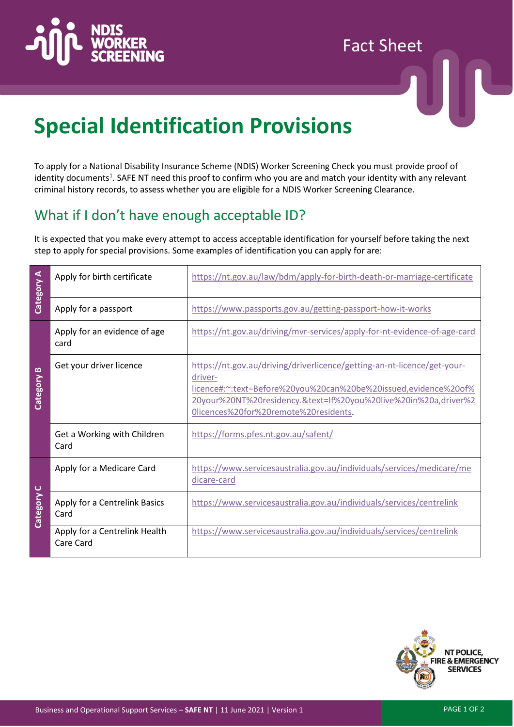

# Fact Sheet



# **Special Identification Provisions**

To apply for a National Disability Insurance Scheme (NDIS) Worker Screening Check you must provide proof of identity documents<sup>1</sup>. SAFE NT need this proof to confirm who you are and match your identity with any relevant criminal history records, to assess whether you are eligible for a NDIS Worker Screening Clearance.

## What if I don't have enough acceptable ID?

It is expected that you make every attempt to access acceptable identification for yourself before taking the next step to apply for special provisions. Some examples of identification you can apply for are:

| Category A<br>Category B | Apply for birth certificate                | https://nt.gov.au/law/bdm/apply-for-birth-death-or-marriage-certificate                                                                                                                                                                                           |
|--------------------------|--------------------------------------------|-------------------------------------------------------------------------------------------------------------------------------------------------------------------------------------------------------------------------------------------------------------------|
|                          | Apply for a passport                       | https://www.passports.gov.au/getting-passport-how-it-works                                                                                                                                                                                                        |
|                          | Apply for an evidence of age<br>card       | https://nt.gov.au/driving/mvr-services/apply-for-nt-evidence-of-age-card                                                                                                                                                                                          |
|                          | Get your driver licence                    | https://nt.gov.au/driving/driverlicence/getting-an-nt-licence/get-your-<br>driver-<br>licence#:~:text=Before%20you%20can%20be%20issued,evidence%20of%<br>20your%20NT%20residency.&text=If%20you%20live%20in%20a,driver%2<br>Olicences%20for%20remote%20residents. |
|                          | Get a Working with Children<br>Card        | https://forms.pfes.nt.gov.au/safent/                                                                                                                                                                                                                              |
| Category C               | Apply for a Medicare Card                  | https://www.servicesaustralia.gov.au/individuals/services/medicare/me<br>dicare-card                                                                                                                                                                              |
|                          | Apply for a Centrelink Basics<br>Card      | https://www.servicesaustralia.gov.au/individuals/services/centrelink                                                                                                                                                                                              |
|                          | Apply for a Centrelink Health<br>Care Card | https://www.servicesaustralia.gov.au/individuals/services/centrelink                                                                                                                                                                                              |